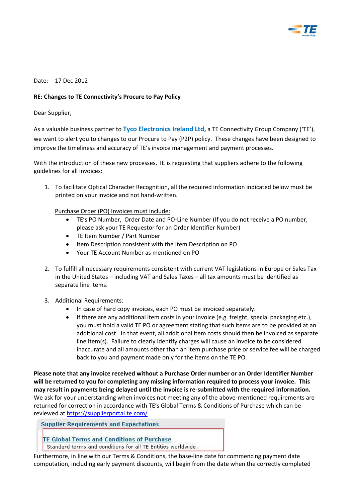

#### Date: 17 Dec 2012

#### **RE: Changes to TE Connectivity's Procure to Pay Policy**

Dear Supplier,

As a valuable business partner to **Tyco Electronics Ireland Ltd,** a TE Connectivity Group Company ('TE'), we want to alert you to changes to our Procure to Pay (P2P) policy. These changes have been designed to improve the timeliness and accuracy of TE's invoice management and payment processes.

With the introduction of these new processes, TE is requesting that suppliers adhere to the following guidelines for all invoices:

1. To facilitate Optical Character Recognition, all the required information indicated below must be printed on your invoice and not hand-written.

Purchase Order (PO) Invoices must include:

- TE's PO Number, Order Date and PO-Line Number (If you do not receive a PO number, please ask your TE Requestor for an Order Identifier Number)
- TE Item Number / Part Number
- Item Description consistent with the Item Description on PO
- Your TE Account Number as mentioned on PO
- 2. To fulfill all necessary requirements consistent with current VAT legislations in Europe or Sales Tax in the United States – including VAT and Sales Taxes – all tax amounts must be identified as separate line items.
- 3. Additional Requirements:
	- In case of hard copy invoices, each PO must be invoiced separately.
	- $\bullet$  If there are any additional item costs in your invoice (e.g. freight, special packaging etc.), you must hold a valid TE PO or agreement stating that such items are to be provided at an additional cost. In that event, all additional item costs should then be invoiced as separate line item(s). Failure to clearly identify charges will cause an invoice to be considered inaccurate and all amounts other than an item purchase price or service fee will be charged back to you and payment made only for the items on the TE PO.

**Please note that any invoice received without a Purchase Order number or an Order Identifier Number will be returned to you for completing any missing information required to process your invoice. This may result in payments being delayed until the invoice is re-submitted with the required information.**  We ask for your understanding when invoices not meeting any of the above-mentioned requirements are returned for correction in accordance with TE's Global Terms & Conditions of Purchase which can be reviewed at<https://supplierportal.te.com/>

**Supplier Requirements and Expectations** 

TE Global Terms and Conditions of Purchase

Standard terms and conditions for all TE Entities worldwide.

Furthermore, in line with our Terms & Conditions, the base-line date for commencing payment date computation, including early payment discounts, will begin from the date when the correctly completed